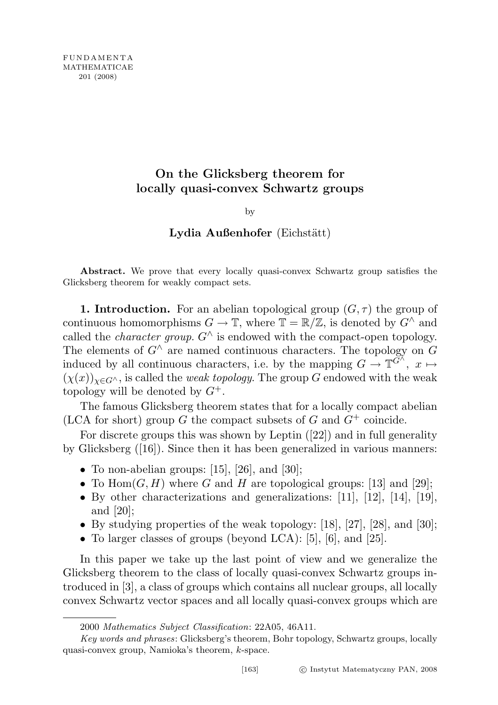# On the Glicksberg theorem for locally quasi-convex Schwartz groups

#### by

## Lydia Außenhofer (Eichstätt)

Abstract. We prove that every locally quasi-convex Schwartz group satisfies the Glicksberg theorem for weakly compact sets.

**1. Introduction.** For an abelian topological group  $(G, \tau)$  the group of continuous homomorphisms  $G \to \mathbb{T}$ , where  $\mathbb{T} = \mathbb{R}/\mathbb{Z}$ , is denoted by  $G^{\wedge}$  and called the *character group.*  $G^{\wedge}$  is endowed with the compact-open topology. The elements of  $G^{\wedge}$  are named continuous characters. The topology on G induced by all continuous characters, i.e. by the mapping  $G \to \mathbb{T}^{\widetilde{G}^{\widetilde{\wedge}}}, x \mapsto$  $(\chi(x))_{x\in G}$ , is called the *weak topology*. The group G endowed with the weak topology will be denoted by  $G^+$ .

The famous Glicksberg theorem states that for a locally compact abelian (LCA for short) group  $G$  the compact subsets of  $G$  and  $G^+$  coincide.

For discrete groups this was shown by Leptin ([22]) and in full generality by Glicksberg ([16]). Since then it has been generalized in various manners:

- To non-abelian groups:  $[15]$ ,  $[26]$ , and  $[30]$ ;
- To  $\text{Hom}(G, H)$  where G and H are topological groups: [13] and [29];
- By other characterizations and generalizations: [11], [12], [14], [19], and [20];
- By studying properties of the weak topology: [18], [27], [28], and [30];
- To larger classes of groups (beyond LCA): [5], [6], and [25].

In this paper we take up the last point of view and we generalize the Glicksberg theorem to the class of locally quasi-convex Schwartz groups introduced in [3], a class of groups which contains all nuclear groups, all locally convex Schwartz vector spaces and all locally quasi-convex groups which are

<sup>2000</sup> Mathematics Subject Classification: 22A05, 46A11.

Key words and phrases: Glicksberg's theorem, Bohr topology, Schwartz groups, locally quasi-convex group, Namioka's theorem, k-space.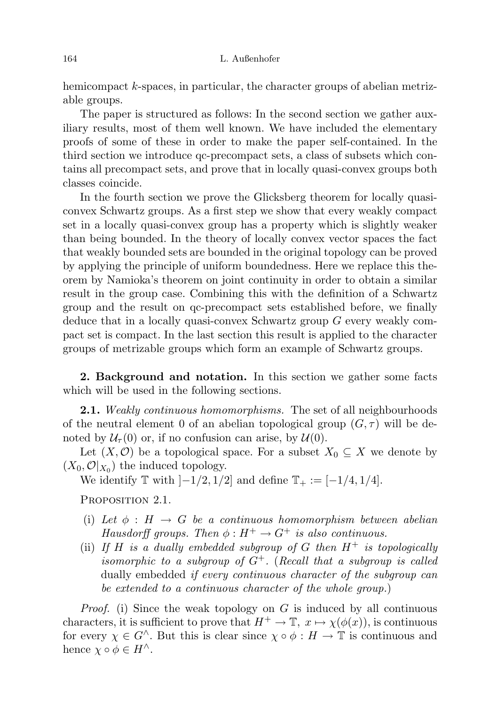hemicompact k-spaces, in particular, the character groups of abelian metrizable groups.

The paper is structured as follows: In the second section we gather auxiliary results, most of them well known. We have included the elementary proofs of some of these in order to make the paper self-contained. In the third section we introduce qc-precompact sets, a class of subsets which contains all precompact sets, and prove that in locally quasi-convex groups both classes coincide.

In the fourth section we prove the Glicksberg theorem for locally quasiconvex Schwartz groups. As a first step we show that every weakly compact set in a locally quasi-convex group has a property which is slightly weaker than being bounded. In the theory of locally convex vector spaces the fact that weakly bounded sets are bounded in the original topology can be proved by applying the principle of uniform boundedness. Here we replace this theorem by Namioka's theorem on joint continuity in order to obtain a similar result in the group case. Combining this with the definition of a Schwartz group and the result on qc-precompact sets established before, we finally deduce that in a locally quasi-convex Schwartz group G every weakly compact set is compact. In the last section this result is applied to the character groups of metrizable groups which form an example of Schwartz groups.

2. Background and notation. In this section we gather some facts which will be used in the following sections.

**2.1.** Weakly continuous homomorphisms. The set of all neighbourhoods of the neutral element 0 of an abelian topological group  $(G, \tau)$  will be denoted by  $\mathcal{U}_{\tau}(0)$  or, if no confusion can arise, by  $\mathcal{U}(0)$ .

Let  $(X, \mathcal{O})$  be a topological space. For a subset  $X_0 \subseteq X$  we denote by  $(X_0, \mathcal{O}|_{X_0})$  the induced topology.

We identify  $\mathbb T$  with  $]-1/2, 1/2]$  and define  $\mathbb T_+ := [-1/4, 1/4]$ .

PROPOSITION 2.1.

- (i) Let  $\phi : H \to G$  be a continuous homomorphism between abelian Hausdorff groups. Then  $\phi: H^+ \to G^+$  is also continuous.
- (ii) If H is a dually embedded subgroup of G then  $H^+$  is topologically isomorphic to a subgroup of  $G^+$ . (Recall that a subgroup is called dually embedded *if every continuous character of the subgroup can* be extended to a continuous character of the whole group.)

*Proof.* (i) Since the weak topology on  $G$  is induced by all continuous characters, it is sufficient to prove that  $H^+ \to \mathbb{T}$ ,  $x \mapsto \chi(\phi(x))$ , is continuous for every  $\chi \in G^{\wedge}$ . But this is clear since  $\chi \circ \phi : H \to \mathbb{T}$  is continuous and hence  $\chi \circ \phi \in H^{\wedge}$ .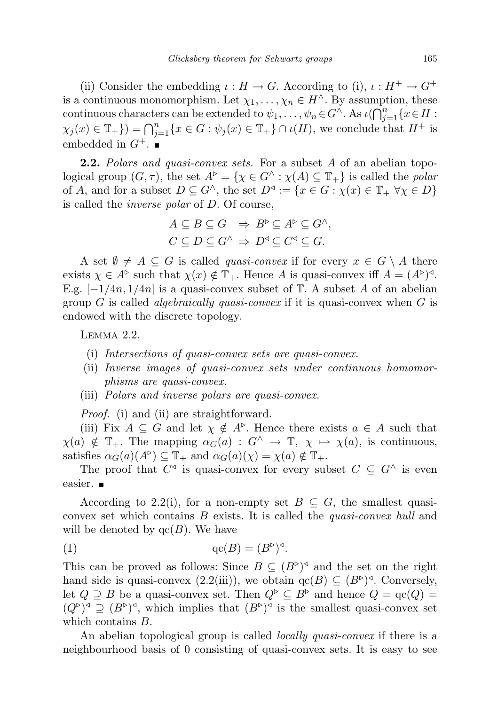(ii) Consider the embedding  $\iota : H \to G$ . According to (i),  $\iota : H^+ \to G^+$ is a continuous monomorphism. Let  $\chi_1, \ldots, \chi_n \in H^{\wedge}$ . By assumption, these continuous characters can be extended to  $\psi_1, \dots, \psi_n \in G^{\wedge}$ . As  $\iota(\bigcap_{j=1}^n \{x \in H :$  $\chi_j(x) \in \mathbb{T}_+$ } $) = \bigcap_{j=1}^n \{x \in G : \psi_j(x) \in \mathbb{T}_+$ }  $\cap \iota(H)$ , we conclude that  $H^+$  is embedded in  $G^+$ .

**2.2.** Polars and quasi-convex sets. For a subset A of an abelian topological group  $(G, \tau)$ , the set  $A^{\triangleright} = \{ \chi \in G^{\wedge} : \chi(A) \subseteq \mathbb{T}_+ \}$  is called the *polar* of A, and for a subset  $D \subseteq G^{\wedge}$ , the set  $D^{\triangleleft} := \{x \in G : \chi(x) \in \mathbb{T}_+ \ \forall \chi \in D\}$ is called the inverse polar of D. Of course,

$$
A \subseteq B \subseteq G \Rightarrow B^{\triangleright} \subseteq A^{\triangleright} \subseteq G^{\wedge},
$$
  

$$
C \subseteq D \subseteq G^{\wedge} \Rightarrow D^{\triangleleft} \subseteq C^{\triangleleft} \subseteq G.
$$

A set  $\emptyset \neq A \subseteq G$  is called *quasi-convex* if for every  $x \in G \setminus A$  there exists  $\chi \in A^{\triangleright}$  such that  $\chi(x) \notin \mathbb{T}_+$ . Hence A is quasi-convex iff  $A = (A^{\triangleright})^{\triangleleft}$ . E.g.  $[-1/4n, 1/4n]$  is a quasi-convex subset of T. A subset A of an abelian group G is called *algebraically quasi-convex* if it is quasi-convex when  $G$  is endowed with the discrete topology.

Lemma 2.2.

- (i) Intersections of quasi-convex sets are quasi-convex.
- (ii) Inverse images of quasi-convex sets under continuous homomorphisms are quasi-convex.
- (iii) Polars and inverse polars are quasi-convex.

Proof. (i) and (ii) are straightforward.

(iii) Fix  $A \subseteq G$  and let  $\chi \notin A^{\triangleright}$ . Hence there exists  $a \in A$  such that  $\chi(a) \notin \mathbb{T}_+$ . The mapping  $\alpha_G(a) : G^{\wedge} \to \mathbb{T}$ ,  $\chi \mapsto \chi(a)$ , is continuous, satisfies  $\alpha_G(a)(A^{\triangleright}) \subseteq \mathbb{T}_+$  and  $\alpha_G(a)(\chi) = \chi(a) \notin \mathbb{T}_+$ .

The proof that  $C^{\triangleleft}$  is quasi-convex for every subset  $C \subseteq G^{\wedge}$  is even easier. **■** 

According to 2.2(i), for a non-empty set  $B \subseteq G$ , the smallest quasiconvex set which contains B exists. It is called the quasi-convex hull and will be denoted by  $\operatorname{qc}(B)$ . We have

$$
(1) \t\t qc(B) = (B^{\triangleright})^{\triangleleft}.
$$

This can be proved as follows: Since  $B \subseteq (B^{\triangleright})^{\triangleleft}$  and the set on the right hand side is quasi-convex  $(2.2(iii))$ , we obtain  $qc(B) \subseteq (B^c)^d$ . Conversely, let  $Q \supseteq B$  be a quasi-convex set. Then  $Q^{\triangleright} \subseteq B^{\triangleright}$  and hence  $Q = \text{qc}(Q) =$  $(Q^{\triangleright})^{\triangleleft} \supseteq (B^{\triangleright})^{\triangleleft}$ , which implies that  $(B^{\triangleright})^{\triangleleft}$  is the smallest quasi-convex set which contains B.

An abelian topological group is called *locally quasi-convex* if there is a neighbourhood basis of 0 consisting of quasi-convex sets. It is easy to see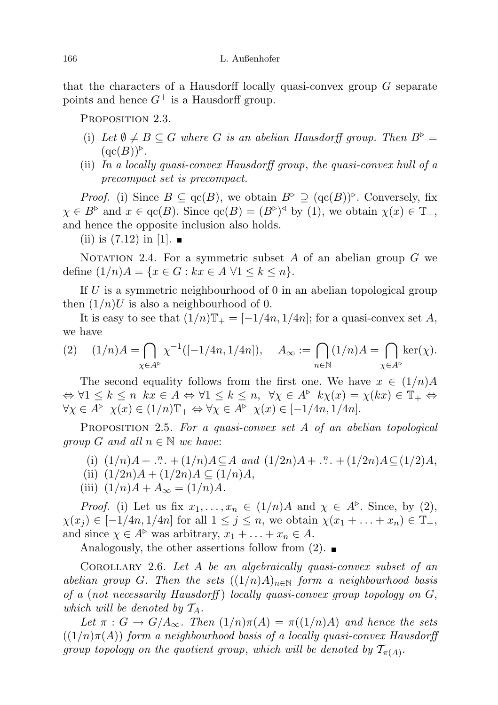that the characters of a Hausdorff locally quasi-convex group G separate points and hence  $G^+$  is a Hausdorff group.

PROPOSITION 2.3.

- (i) Let  $\emptyset \neq B \subseteq G$  where G is an abelian Hausdorff group. Then  $B^{\triangleright} =$  $(\mathrm{qc}(B))$ <sup> $\triangleright$ </sup>.
- (ii) In a locally quasi-convex Hausdorff group, the quasi-convex hull of a precompact set is precompact.

*Proof.* (i) Since  $B \subseteq \text{qc}(B)$ , we obtain  $B^{\triangleright} \supseteq (\text{qc}(B))^{\triangleright}$ . Conversely, fix  $\chi \in B^{\triangleright}$  and  $x \in \text{qc}(B)$ . Since  $\text{qc}(B) = (B^{\triangleright})^{\triangleleft}$  by (1), we obtain  $\chi(x) \in \mathbb{T}_+$ , and hence the opposite inclusion also holds.

(ii) is  $(7.12)$  in [1].

NOTATION 2.4. For a symmetric subset A of an abelian group  $G$  we define  $(1/n)A = \{x \in G : kx \in A \,\forall 1 \leq k \leq n\}.$ 

If  $U$  is a symmetric neighbourhood of 0 in an abelian topological group then  $(1/n)U$  is also a neighbourhood of 0.

It is easy to see that  $(1/n)\mathbb{T}_{+} = [-1/4n, 1/4n]$ ; for a quasi-convex set A, we have

(2) 
$$
(1/n)A = \bigcap_{\chi \in A^{\triangleright}} \chi^{-1}([-1/4n, 1/4n]), \quad A_{\infty} := \bigcap_{n \in \mathbb{N}} (1/n)A = \bigcap_{\chi \in A^{\triangleright}} \ker(\chi).
$$

The second equality follows from the first one. We have  $x \in (1/n)A$  $\Leftrightarrow \forall 1 \leq k \leq n \; kx \in A \Leftrightarrow \forall 1 \leq k \leq n, \; \forall \chi \in A^{\triangleright} \; k\chi(x) = \chi(kx) \in \mathbb{T}_+ \Leftrightarrow$  $\forall \chi \in A^{\triangleright} \ \chi(x) \in (1/n) \mathbb{T}_+ \Leftrightarrow \forall \chi \in A^{\triangleright} \ \chi(x) \in [-1/4n, 1/4n].$ 

PROPOSITION 2.5. For a quasi-convex set A of an abelian topological *group* G and all  $n \in \mathbb{N}$  we have:

- (i)  $(1/n)A + . . . . . + (1/n)A \subseteq A$  and  $(1/2n)A + . . . . . + (1/2n)A \subseteq (1/2)A$ ,
- (ii)  $(1/2n)A + (1/2n)A \subseteq (1/n)A$ ,
- (iii)  $(1/n)A + A_{\infty} = (1/n)A$ .

*Proof.* (i) Let us fix  $x_1, \ldots, x_n \in (1/n)A$  and  $\chi \in A^{\triangleright}$ . Since, by (2),  $\chi(x_i) \in [-1/4n, 1/4n]$  for all  $1 \leq j \leq n$ , we obtain  $\chi(x_1 + \ldots + x_n) \in \mathbb{T}_+$ , and since  $\chi \in A^{\triangleright}$  was arbitrary,  $x_1 + \ldots + x_n \in A$ .

Analogously, the other assertions follow from  $(2)$ .

Corollary 2.6. Let A be an algebraically quasi-convex subset of an abelian group G. Then the sets  $((1/n)A)_{n\in\mathbb{N}}$  form a neighbourhood basis of a (not necessarily Hausdorff) locally quasi-convex group topology on  $G$ , which will be denoted by  $T_A$ .

Let  $\pi : G \to G/A_{\infty}$ . Then  $(1/n)\pi(A) = \pi((1/n)A)$  and hence the sets  $((1/n)\pi(A))$  form a neighbourhood basis of a locally quasi-convex Hausdorff group topology on the quotient group, which will be denoted by  $\mathcal{T}_{\pi(A)}$ .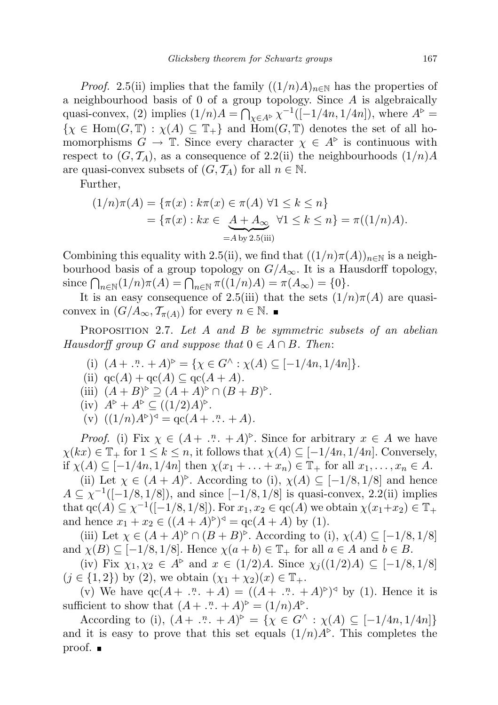*Proof.* 2.5(ii) implies that the family  $((1/n)A)_{n\in\mathbb{N}}$  has the properties of a neighbourhood basis of 0 of a group topology. Since A is algebraically quasi-convex, (2) implies  $(1/n)A = \bigcap_{\chi \in A^{\triangleright}} \chi^{-1}([-1/4n, 1/4n])$ , where  $A^{\triangleright} =$  $\{\chi \in \text{Hom}(G,\mathbb{T}) : \chi(A) \subseteq \mathbb{T}_+\}$  and  $\text{Hom}(G,\mathbb{T})$  denotes the set of all homomorphisms  $G \to \mathbb{T}$ . Since every character  $\chi \in A^{\triangleright}$  is continuous with respect to  $(G, \mathcal{T}_A)$ , as a consequence of 2.2(ii) the neighbourhoods  $(1/n)A$ are quasi-convex subsets of  $(G, \mathcal{T}_A)$  for all  $n \in \mathbb{N}$ .

Further,

$$
(1/n)\pi(A) = \{\pi(x) : k\pi(x) \in \pi(A) \,\forall 1 \le k \le n\}
$$
  
=  $\{\pi(x) : kx \in \underbrace{A + A_{\infty}}_{=A \text{ by } 2.5(iii)} \forall 1 \le k \le n\} = \pi((1/n)A).$ 

Combining this equality with 2.5(ii), we find that  $((1/n)\pi(A))_{n\in\mathbb{N}}$  is a neighbourhood basis of a group topology on  $G/A_{\infty}$ . It is a Hausdorff topology, since  $\bigcap_{n\in\mathbb{N}}(1/n)\pi(A) = \bigcap_{n\in\mathbb{N}}\pi((1/n)A) = \pi(A_{\infty}) = \{0\}.$ 

It is an easy consequence of 2.5(iii) that the sets  $(1/n)\pi(A)$  are quasiconvex in  $(G/A_{\infty}, \mathcal{T}_{\pi(A)})$  for every  $n \in \mathbb{N}$ .

PROPOSITION 2.7. Let A and B be symmetric subsets of an abelian Hausdorff group G and suppose that  $0 \in A \cap B$ . Then:

- (i)  $(A + .^n. + A)^\triangleright = \{ \chi \in G^\wedge : \chi(A) \subseteq [-1/4n, 1/4n] \}.$
- (ii)  $\operatorname{qc}(A) + \operatorname{qc}(A) \subseteq \operatorname{qc}(A + A)$ .
- (iii)  $(A+B)^{\triangleright} \supseteq (A+A)^{\triangleright} \cap (B+B)^{\triangleright}.$

(iv) 
$$
A^{\triangleright} + A^{\triangleright} \subseteq ((1/2)A)^{\triangleright}.
$$

(v)  $((1/n)A^{\triangleright})^{\triangleleft} =$  qc( $A + \dots + A$ ).

*Proof.* (i) Fix  $\chi \in (A + \dots + A)^{\triangleright}$ . Since for arbitrary  $x \in A$  we have  $\chi(kx) \in \mathbb{T}_+$  for  $1 \leq k \leq n$ , it follows that  $\chi(A) \subseteq [-1/4n, 1/4n]$ . Conversely, if  $\chi(A) \subseteq [-1/4n, 1/4n]$  then  $\chi(x_1 + \ldots + x_n) \in \mathbb{T}_+$  for all  $x_1, \ldots, x_n \in A$ .

(ii) Let  $\chi \in (A + A)^{\triangleright}$ . According to (i),  $\chi(A) \subseteq [-1/8, 1/8]$  and hence  $A \subseteq \chi^{-1}([-1/8, 1/8])$ , and since  $[-1/8, 1/8]$  is quasi-convex, 2.2(ii) implies that  $\operatorname{qc}(A) \subseteq \chi^{-1}([-1/8, 1/8])$ . For  $x_1, x_2 \in \operatorname{qc}(A)$  we obtain  $\chi(x_1+x_2) \in \mathbb{T}_+$ and hence  $x_1 + x_2 \in ((A + A)^{\triangleright})^{\triangleleft} = \text{qc}(A + A)$  by (1).

(iii) Let  $\chi \in (A + A)^{\triangleright} \cap (B + B)^{\triangleright}$ . According to (i),  $\chi(A) \subseteq [-1/8, 1/8]$ and  $\chi(B) \subseteq [-1/8, 1/8]$ . Hence  $\chi(a+b) \in \mathbb{T}_+$  for all  $a \in A$  and  $b \in B$ .

(iv) Fix  $\chi_1, \chi_2 \in A^{\triangleright}$  and  $x \in (1/2)A$ . Since  $\chi_i((1/2)A) \subseteq [-1/8, 1/8]$  $(j \in \{1, 2\})$  by (2), we obtain  $(\chi_1 + \chi_2)(x) \in \mathbb{T}_+$ .

(v) We have  $\text{qc}(A + \dots + A) = ((A + \dots + A)^{c})^{\triangleleft}$  by (1). Hence it is sufficient to show that  $(A + \dots + A)^{\triangleright} = (1/n)A^{\triangleright}.$ 

According to (i),  $(A + \dots + A)^{p} = \{ \chi \in G^{\wedge} : \chi(A) \subseteq [-1/4n, 1/4n] \}$ and it is easy to prove that this set equals  $(1/n)A^{\triangleright}$ . This completes the proof. ■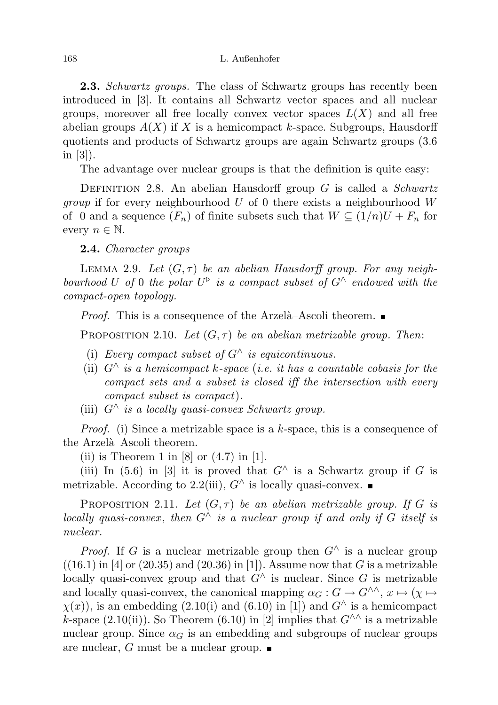**2.3.** Schwartz groups. The class of Schwartz groups has recently been introduced in [3]. It contains all Schwartz vector spaces and all nuclear groups, moreover all free locally convex vector spaces  $L(X)$  and all free abelian groups  $A(X)$  if X is a hemicompact k-space. Subgroups, Hausdorff quotients and products of Schwartz groups are again Schwartz groups (3.6 in [3]).

The advantage over nuclear groups is that the definition is quite easy:

DEFINITION 2.8. An abelian Hausdorff group  $G$  is called a *Schwartz group* if for every neighbourhood  $U$  of 0 there exists a neighbourhood  $W$ of 0 and a sequence  $(F_n)$  of finite subsets such that  $W \subseteq (1/n)U + F_n$  for every  $n \in \mathbb{N}$ .

2.4. Character groups

LEMMA 2.9. Let  $(G, \tau)$  be an abelian Hausdorff group. For any neighbourhood U of 0 the polar  $U^{\triangleright}$  is a compact subset of  $G^{\wedge}$  endowed with the compact-open topology.

*Proof.* This is a consequence of the Arzelà–Ascoli theorem.  $\blacksquare$ 

PROPOSITION 2.10. Let  $(G, \tau)$  be an abelian metrizable group. Then:

- (i) Every compact subset of  $G^{\wedge}$  is equicontinuous.
- (ii)  $G^{\wedge}$  is a hemicompact k-space (i.e. it has a countable cobasis for the compact sets and a subset is closed iff the intersection with every compact subset is compact).
- (iii)  $G^{\wedge}$  is a locally quasi-convex Schwartz group.

*Proof.* (i) Since a metrizable space is a k-space, this is a consequence of the Arzelà–Ascoli theorem.

(ii) is Theorem 1 in  $[8]$  or  $(4.7)$  in  $[1]$ .

(iii) In (5.6) in [3] it is proved that  $G^{\wedge}$  is a Schwartz group if G is metrizable. According to 2.2(iii),  $G^{\wedge}$  is locally quasi-convex. ■

PROPOSITION 2.11. Let  $(G, \tau)$  be an abelian metrizable group. If G is locally quasi-convex, then  $G^{\wedge}$  is a nuclear group if and only if G itself is nuclear.

*Proof.* If G is a nuclear metrizable group then  $G^{\wedge}$  is a nuclear group  $((16.1)$  in [4] or  $(20.35)$  and  $(20.36)$  in [1]). Assume now that G is a metrizable locally quasi-convex group and that  $G^{\wedge}$  is nuclear. Since G is metrizable and locally quasi-convex, the canonical mapping  $\alpha_G : G \to G^{\wedge\wedge}, x \mapsto (\chi \mapsto$  $\chi(x)$ , is an embedding (2.10(i) and (6.10) in [1]) and  $G^{\wedge}$  is a hemicompact k-space (2.10(ii)). So Theorem (6.10) in [2] implies that  $G^{\wedge\wedge}$  is a metrizable nuclear group. Since  $\alpha_G$  is an embedding and subgroups of nuclear groups are nuclear, G must be a nuclear group.  $\blacksquare$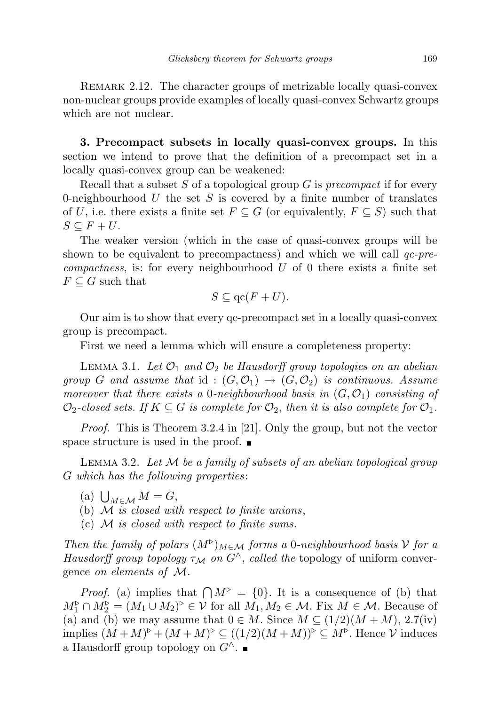REMARK 2.12. The character groups of metrizable locally quasi-convex non-nuclear groups provide examples of locally quasi-convex Schwartz groups which are not nuclear.

3. Precompact subsets in locally quasi-convex groups. In this section we intend to prove that the definition of a precompact set in a locally quasi-convex group can be weakened:

Recall that a subset  $S$  of a topological group  $G$  is precompact if for every 0-neighbourhood  $U$  the set  $S$  is covered by a finite number of translates of U, i.e. there exists a finite set  $F \subseteq G$  (or equivalently,  $F \subseteq S$ ) such that  $S \subseteq F + U$ .

The weaker version (which in the case of quasi-convex groups will be shown to be equivalent to precompactness) and which we will call  $qc$ -pre $compactness$ , is: for every neighbourhood  $U$  of 0 there exists a finite set  $F \subseteq G$  such that

$$
S \subseteq \mathrm{qc}(F+U).
$$

Our aim is to show that every qc-precompact set in a locally quasi-convex group is precompact.

First we need a lemma which will ensure a completeness property:

LEMMA 3.1. Let  $\mathcal{O}_1$  and  $\mathcal{O}_2$  be Hausdorff group topologies on an abelian group G and assume that id :  $(G, \mathcal{O}_1) \rightarrow (G, \mathcal{O}_2)$  is continuous. Assume moreover that there exists a 0-neighbourhood basis in  $(G, \mathcal{O}_1)$  consisting of  $\mathcal{O}_2$ -closed sets. If  $K \subseteq G$  is complete for  $\mathcal{O}_2$ , then it is also complete for  $\mathcal{O}_1$ .

Proof. This is Theorem 3.2.4 in [21]. Only the group, but not the vector space structure is used in the proof.  $\blacksquare$ 

LEMMA 3.2. Let  $M$  be a family of subsets of an abelian topological group G which has the following properties:

- (a)  $\bigcup_{M \in \mathcal{M}} M = G$ ,
- (b)  $M$  is closed with respect to finite unions,
- (c)  $M$  is closed with respect to finite sums.

Then the family of polars  $(M^{\triangleright})_{M \in \mathcal{M}}$  forms a 0-neighbourhood basis V for a Hausdorff group topology  $\tau_M$  on  $G^{\wedge}$ , called the topology of uniform convergence on elements of M.

*Proof.* (a) implies that  $\bigcap M^{\triangleright} = \{0\}$ . It is a consequence of (b) that  $M_1^{\triangleright} \cap M_2^{\triangleright} = (M_1 \cup M_2)^{\triangleright} \in \mathcal{V}$  for all  $M_1, M_2 \in \mathcal{M}$ . Fix  $M \in \mathcal{M}$ . Because of (a) and (b) we may assume that  $0 \in M$ . Since  $M \subseteq (1/2)(M + M)$ , 2.7(iv) implies  $(M+M)^{\triangleright} + (M+M)^{\triangleright} \subseteq ((1/2)(M+M))^{\triangleright} \subseteq M^{\triangleright}$ . Hence  $\mathcal V$  induces a Hausdorff group topology on  $G^{\wedge}$ .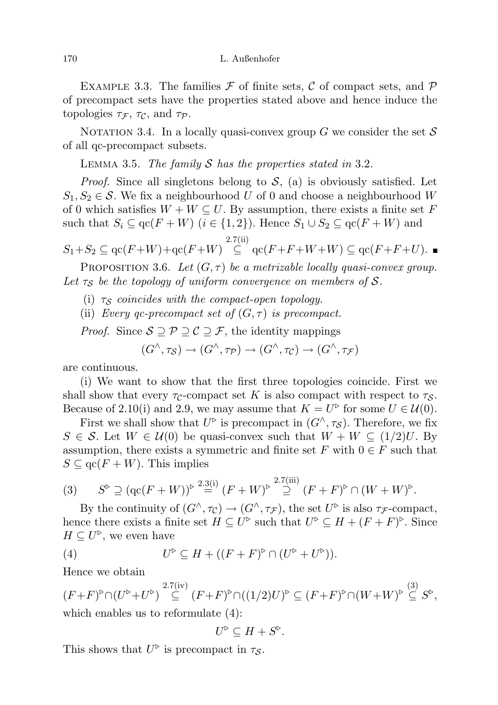EXAMPLE 3.3. The families  $\mathcal F$  of finite sets,  $\mathcal C$  of compact sets, and  $\mathcal P$ of precompact sets have the properties stated above and hence induce the topologies  $\tau_{\mathcal{F}}$ ,  $\tau_{\mathcal{C}}$ , and  $\tau_{\mathcal{P}}$ .

NOTATION 3.4. In a locally quasi-convex group G we consider the set  $S$ of all qc-precompact subsets.

LEMMA 3.5. The family  $S$  has the properties stated in 3.2.

*Proof.* Since all singletons belong to  $S$ , (a) is obviously satisfied. Let  $S_1, S_2 \in \mathcal{S}$ . We fix a neighbourhood U of 0 and choose a neighbourhood W of 0 which satisfies  $W + W \subseteq U$ . By assumption, there exists a finite set F such that  $S_i \subseteq \text{qc}(F + W)$   $(i \in \{1, 2\})$ . Hence  $S_1 \cup S_2 \subseteq \text{qc}(F + W)$  and 2.7(ii)

$$
S_1 + S_2 \subseteq \mathrm{qc}(F+W) + \mathrm{qc}(F+W) \stackrel{\cdots}{\subseteq} \mathrm{qc}(F+F+W+W) \subseteq \mathrm{qc}(F+F+U).
$$

PROPOSITION 3.6. Let  $(G, \tau)$  be a metrizable locally quasi-convex group. Let  $\tau_{\mathcal{S}}$  be the topology of uniform convergence on members of S.

(i)  $\tau_{\mathcal{S}}$  coincides with the compact-open topology.

(ii) Every qc-precompact set of  $(G, \tau)$  is precompact.

*Proof.* Since  $S \supseteq \mathcal{P} \supseteq \mathcal{C} \supseteq \mathcal{F}$ , the identity mappings

$$
(G^{\wedge}, \tau_{\mathcal{S}}) \to (G^{\wedge}, \tau_{\mathcal{P}}) \to (G^{\wedge}, \tau_{\mathcal{C}}) \to (G^{\wedge}, \tau_{\mathcal{F}})
$$

are continuous.

(i) We want to show that the first three topologies coincide. First we shall show that every  $\tau_c$ -compact set K is also compact with respect to  $\tau_s$ . Because of 2.10(i) and 2.9, we may assume that  $K = U^{\triangleright}$  for some  $U \in \mathcal{U}(0)$ .

First we shall show that  $U^{\triangleright}$  is precompact in  $(G^{\wedge}, \tau_{\mathcal{S}})$ . Therefore, we fix  $S \in \mathcal{S}$ . Let  $W \in \mathcal{U}(0)$  be quasi-convex such that  $W + W \subseteq (1/2)U$ . By assumption, there exists a symmetric and finite set F with  $0 \in F$  such that  $S \subseteq \operatorname{qc}(F + W)$ . This implies

$$
(3) \qquad S^{\triangleright} \supseteq (\mathrm{qc}(F+W))^{\triangleright} \stackrel{2.3(i)}{=} (F+W)^{\triangleright} \stackrel{2.7(iii)}{=} (F+F)^{\triangleright} \cap (W+W)^{\triangleright}.
$$

By the continuity of  $(G^{\wedge}, \tau_{\mathcal{C}}) \to (G^{\wedge}, \tau_{\mathcal{F}})$ , the set  $U^{\triangleright}$  is also  $\tau_{\mathcal{F}}$ -compact, hence there exists a finite set  $H \subseteq U^{\triangleright}$  such that  $U^{\triangleright} \subseteq H + (F + F)^{\triangleright}$ . Since  $H \subseteq U^{\triangleright}$ , we even have

(4) 
$$
U^{\triangleright} \subseteq H + ((F+F)^{\triangleright} \cap (U^{\triangleright} + U^{\triangleright})).
$$

Hence we obtain

 $(F+F)^{\triangleright} \cap (U^{\triangleright}+U^{\triangleright}) \stackrel{2.7(iv)}{\subseteq} (F+F)^{\triangleright} \cap ((1/2)U)^{\triangleright} \subseteq (F+F)^{\triangleright} \cap (W+W)^{\triangleright} \stackrel{(3)}{\subseteq} S^{\triangleright},$ which enables us to reformulate (4):

$$
U^{\triangleright} \subseteq H + S^{\triangleright}.
$$

This shows that  $U^{\triangleright}$  is precompact in  $\tau_{\mathcal{S}}$ .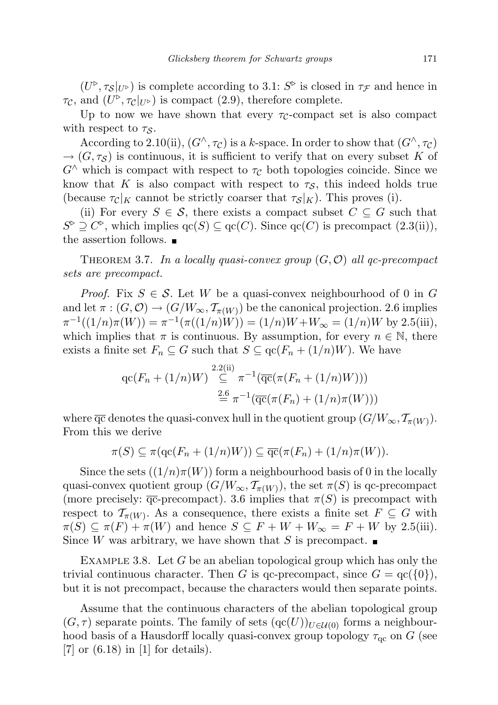$(U^{\triangleright}, \tau_{\mathcal{S}}|_{U^{\triangleright}})$  is complete according to 3.1:  $S^{\triangleright}$  is closed in  $\tau_{\mathcal{F}}$  and hence in  $\tau_{\mathcal{C}}$ , and  $(U^{\triangleright}, \tau_{\mathcal{C}}|_{U^{\triangleright}})$  is compact (2.9), therefore complete.

Up to now we have shown that every  $\tau_c$ -compact set is also compact with respect to  $\tau_{\mathcal{S}}$ .

According to 2.10(ii),  $(G^{\wedge}, \tau_C)$  is a k-space. In order to show that  $(G^{\wedge}, \tau_C)$  $\rightarrow$   $(G, \tau_S)$  is continuous, it is sufficient to verify that on every subset K of  $G^{\wedge}$  which is compact with respect to  $\tau_C$  both topologies coincide. Since we know that K is also compact with respect to  $\tau_{\mathcal{S}}$ , this indeed holds true (because  $\tau_c|_K$  cannot be strictly coarser that  $\tau_s|_K$ ). This proves (i).

(ii) For every  $S \in \mathcal{S}$ , there exists a compact subset  $C \subseteq G$  such that  $S^{\triangleright} \supseteq C^{\triangleright}$ , which implies  $\text{qc}(S) \subseteq \text{qc}(C)$ . Since  $\text{qc}(C)$  is precompact  $(2.3(ii))$ , the assertion follows.  $\blacksquare$ 

THEOREM 3.7. In a locally quasi-convex group  $(G, \mathcal{O})$  all gc-precompact sets are precompact.

*Proof.* Fix  $S \in \mathcal{S}$ . Let W be a quasi-convex neighbourhood of 0 in G and let  $\pi: (G, \mathcal{O}) \to (G/W_\infty, \mathcal{T}_{\pi(W)})$  be the canonical projection. 2.6 implies  $\pi^{-1}((1/n)\pi(W)) = \pi^{-1}(\pi((1/n)W)) = (1/n)W + W_{\infty} = (1/n)W$  by 2.5(iii), which implies that  $\pi$  is continuous. By assumption, for every  $n \in \mathbb{N}$ , there exists a finite set  $F_n \subseteq G$  such that  $S \subseteq \text{qc}(F_n + (1/n)W)$ . We have

$$
qc(F_n + (1/n)W) \stackrel{2.2(ii)}{\subseteq} \pi^{-1}(\overline{qc}(\pi(F_n + (1/n)W)))
$$
  

$$
\stackrel{2.6}{\equiv} \pi^{-1}(\overline{qc}(\pi(F_n) + (1/n)\pi(W)))
$$

where  $\overline{qc}$  denotes the quasi-convex hull in the quotient group  $(G/W_{\infty}, \mathcal{T}_{\pi(W)})$ . From this we derive

$$
\pi(S) \subseteq \pi(\mathrm{qc}(F_n + (1/n)W)) \subseteq \overline{\mathrm{qc}}(\pi(F_n) + (1/n)\pi(W)).
$$

Since the sets  $((1/n)\pi(W))$  form a neighbourhood basis of 0 in the locally quasi-convex quotient group  $(G/W_{\infty}, \mathcal{T}_{\pi(W)})$ , the set  $\pi(S)$  is qc-precompact (more precisely:  $\overline{qc}$ -precompact). 3.6 implies that  $\pi(S)$  is precompact with respect to  $\mathcal{T}_{\pi(W)}$ . As a consequence, there exists a finite set  $F \subseteq G$  with  $\pi(S) \subseteq \pi(F) + \pi(W)$  and hence  $S \subseteq F + W + W_{\infty} = F + W$  by 2.5(iii). Since W was arbitrary, we have shown that S is precompact.  $\blacksquare$ 

EXAMPLE 3.8. Let  $G$  be an abelian topological group which has only the trivial continuous character. Then G is qc-precompact, since  $G = \text{qc}(\{0\}),$ but it is not precompact, because the characters would then separate points.

Assume that the continuous characters of the abelian topological group  $(G, \tau)$  separate points. The family of sets  $(qc(U))_{U \in \mathcal{U}(0)}$  forms a neighbourhood basis of a Hausdorff locally quasi-convex group topology  $\tau_{\rm qc}$  on G (see  $[7]$  or  $(6.18)$  in  $[1]$  for details).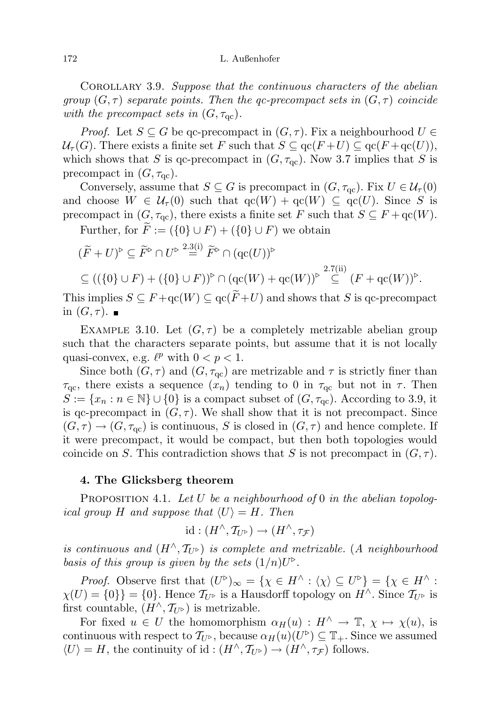Corollary 3.9. Suppose that the continuous characters of the abelian group  $(G, \tau)$  separate points. Then the qc-precompact sets in  $(G, \tau)$  coincide with the precompact sets in  $(G, \tau_{\rm qc})$ .

*Proof.* Let  $S \subseteq G$  be qc-precompact in  $(G, \tau)$ . Fix a neighbourhood  $U \in$  $\mathcal{U}_{\tau}(G)$ . There exists a finite set F such that  $S \subseteq \mathrm{qc}(F+U) \subseteq \mathrm{qc}(F+\mathrm{qc}(U)),$ which shows that S is qc-precompact in  $(G, \tau_{\text{qc}})$ . Now 3.7 implies that S is precompact in  $(G, \tau_{\text{qc}})$ .

Conversely, assume that  $S \subseteq G$  is precompact in  $(G, \tau_{\text{qc}})$ . Fix  $U \in \mathcal{U}_{\tau}(0)$ and choose  $W \in \mathcal{U}_{\tau}(0)$  such that  $\operatorname{qc}(W) + \operatorname{qc}(W) \subseteq \operatorname{qc}(U)$ . Since S is precompact in  $(G, \tau_{\text{qc}})$ , there exists a finite set F such that  $S \subseteq F + \text{qc}(W)$ .

Further, for  $\widetilde{F} := (\{0\} \cup F) + (\{0\} \cup F)$  we obtain

$$
\begin{aligned} & (\widetilde{F} + U)^{\triangleright} \subseteq \widetilde{F}^{\triangleright} \cap U^{\triangleright} \stackrel{2.3(i)}{=} \widetilde{F}^{\triangleright} \cap (\mathrm{qc}(U))^{\triangleright} \\ & \subseteq ((\{0\} \cup F) + (\{0\} \cup F))^{\triangleright} \cap (\mathrm{qc}(W) + \mathrm{qc}(W))^{\triangleright} \stackrel{2.7(ii)}{=} (F + \mathrm{qc}(W))^{\triangleright} .\end{aligned}
$$

This implies  $S \subseteq F + \text{qc}(W) \subseteq \text{qc}(F+U)$  and shows that S is qc-precompact in  $(G, \tau)$ .

EXAMPLE 3.10. Let  $(G, \tau)$  be a completely metrizable abelian group such that the characters separate points, but assume that it is not locally quasi-convex, e.g.  $\ell^p$  with  $0 < p < 1$ .

Since both  $(G, \tau)$  and  $(G, \tau_{\text{qc}})$  are metrizable and  $\tau$  is strictly finer than  $\tau_{\rm qc}$ , there exists a sequence  $(x_n)$  tending to 0 in  $\tau_{\rm qc}$  but not in  $\tau$ . Then  $S := \{x_n : n \in \mathbb{N}\} \cup \{0\}$  is a compact subset of  $(G, \tau_{\text{qc}})$ . According to 3.9, it is qc-precompact in  $(G, \tau)$ . We shall show that it is not precompact. Since  $(G, \tau) \rightarrow (G, \tau_{qc})$  is continuous, S is closed in  $(G, \tau)$  and hence complete. If it were precompact, it would be compact, but then both topologies would coincide on S. This contradiction shows that S is not precompact in  $(G, \tau)$ .

### 4. The Glicksberg theorem

PROPOSITION 4.1. Let U be a neighbourhood of 0 in the abelian topological group H and suppose that  $\langle U \rangle = H$ . Then

$$
id:(H^\wedge,\mathcal{T}_{U^\triangleright})\to(H^\wedge,\tau_{\mathcal{F}})
$$

is continuous and  $(H \wedge, \mathcal{T}_{U^{\triangleright}})$  is complete and metrizable. (A neighbourhood basis of this group is given by the sets  $(1/n)U^{\triangleright}$ .

*Proof.* Observe first that  $(U^{\triangleright})_{\infty} = {\chi \in H^{\wedge} : \langle \chi \rangle \subseteq U^{\triangleright}} = {\chi \in H^{\wedge}}$  $\chi(U) = \{0\} = \{0\}.$  Hence  $\mathcal{T}_{U^{\triangleright}}$  is a Hausdorff topology on  $H^{\wedge}$ . Since  $\mathcal{T}_{U^{\triangleright}}$  is first countable,  $(H^{\wedge}, \mathcal{T}_{U^{\triangleright}})$  is metrizable.

For fixed  $u \in U$  the homomorphism  $\alpha_H(u) : H^{\wedge} \to \mathbb{T}, \chi \mapsto \chi(u)$ , is continuous with respect to  $\mathcal{T}_{U^{\triangleright}}$ , because  $\alpha_H(u)(U^{\triangleright}) \subseteq \mathbb{T}_+$ . Since we assumed  $\langle U \rangle = H$ , the continuity of id:  $(H^{\wedge}, \mathcal{T}_{U^{\triangleright}}) \to (H^{\wedge}, \tau_{\mathcal{F}})$  follows.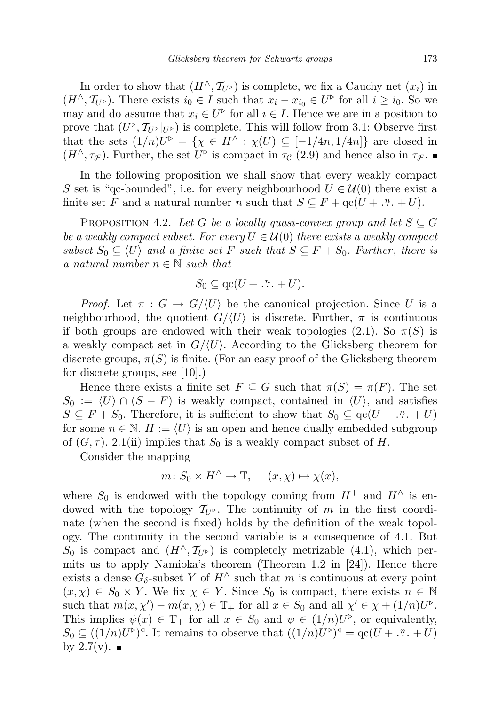In order to show that  $(H^{\wedge}, \mathcal{T}_{U^{\triangleright}})$  is complete, we fix a Cauchy net  $(x_i)$  in  $(H^{\wedge}, \mathcal{T}_{U^{\triangleright}})$ . There exists  $i_0 \in I$  such that  $x_i - x_{i_0} \in U^{\triangleright}$  for all  $i \geq i_0$ . So we may and do assume that  $x_i \in U^{\triangleright}$  for all  $i \in I$ . Hence we are in a position to prove that  $(U^{\triangleright}, \mathcal{T}_{U^{\triangleright}}|_{U^{\triangleright}})$  is complete. This will follow from 3.1: Observe first that the sets  $(1/n)U^{\triangleright} = {\chi \in H^{\wedge} : \chi(U) \subseteq [-1/4n, 1/4n]}$  are closed in  $(H^{\wedge}, \tau_{\mathcal{F}})$ . Further, the set  $U^{\triangleright}$  is compact in  $\tau_{\mathcal{C}}$  (2.9) and hence also in  $\tau_{\mathcal{F}}$ .

In the following proposition we shall show that every weakly compact S set is "qc-bounded", i.e. for every neighbourhood  $U \in \mathcal{U}(0)$  there exist a finite set F and a natural number n such that  $S \subseteq F + \text{qc}(U + \dots + U)$ .

PROPOSITION 4.2. Let G be a locally quasi-convex group and let  $S \subseteq G$ be a weakly compact subset. For every  $U \in \mathcal{U}(0)$  there exists a weakly compact subset  $S_0 \subseteq \langle U \rangle$  and a finite set F such that  $S \subseteq F + S_0$ . Further, there is a natural number  $n \in \mathbb{N}$  such that

$$
S_0 \subseteq \mathrm{qc}(U + \dots^n + U).
$$

*Proof.* Let  $\pi : G \to G/\langle U \rangle$  be the canonical projection. Since U is a neighbourhood, the quotient  $G/(U)$  is discrete. Further,  $\pi$  is continuous if both groups are endowed with their weak topologies (2.1). So  $\pi(S)$  is a weakly compact set in  $G/\langle U \rangle$ . According to the Glicksberg theorem for discrete groups,  $\pi(S)$  is finite. (For an easy proof of the Glicksberg theorem for discrete groups, see [10].)

Hence there exists a finite set  $F \subseteq G$  such that  $\pi(S) = \pi(F)$ . The set  $S_0 := \langle U \rangle \cap (S - F)$  is weakly compact, contained in  $\langle U \rangle$ , and satisfies  $S \subseteq F + S_0$ . Therefore, it is sufficient to show that  $S_0 \subseteq \text{qc}(U + \dots + U)$ for some  $n \in \mathbb{N}$ .  $H := \langle U \rangle$  is an open and hence dually embedded subgroup of  $(G, \tau)$ . 2.1(ii) implies that  $S_0$  is a weakly compact subset of H.

Consider the mapping

 $m: S_0 \times H^\wedge \to \mathbb{T}, \quad (x, \chi) \mapsto \chi(x),$ 

where  $S_0$  is endowed with the topology coming from  $H^+$  and  $H^{\wedge}$  is endowed with the topology  $\mathcal{T}_{U^{\triangleright}}$ . The continuity of m in the first coordinate (when the second is fixed) holds by the definition of the weak topology. The continuity in the second variable is a consequence of 4.1. But  $S_0$  is compact and  $(H^{\wedge}, \mathcal{T}_{U^{\triangleright}})$  is completely metrizable (4.1), which permits us to apply Namioka's theorem (Theorem 1.2 in [24]). Hence there exists a dense  $G_{\delta}$ -subset Y of  $H^{\wedge}$  such that m is continuous at every point  $(x, \chi) \in S_0 \times Y$ . We fix  $\chi \in Y$ . Since  $S_0$  is compact, there exists  $n \in \mathbb{N}$ such that  $m(x, \chi') - m(x, \chi) \in \mathbb{T}_+$  for all  $x \in S_0$  and all  $\chi' \in \chi + (1/n)U^{\triangleright}$ . This implies  $\psi(x) \in \mathbb{T}_+$  for all  $x \in S_0$  and  $\psi \in (1/n)U^{\triangleright}$ , or equivalently,  $S_0 \subseteq ((1/n)U^{\triangleright})^{\triangleleft}$ . It remains to observe that  $((1/n)U^{\triangleright})^{\triangleleft} = \text{qc}(U + \dots + U)$ by  $2.7(v)$ .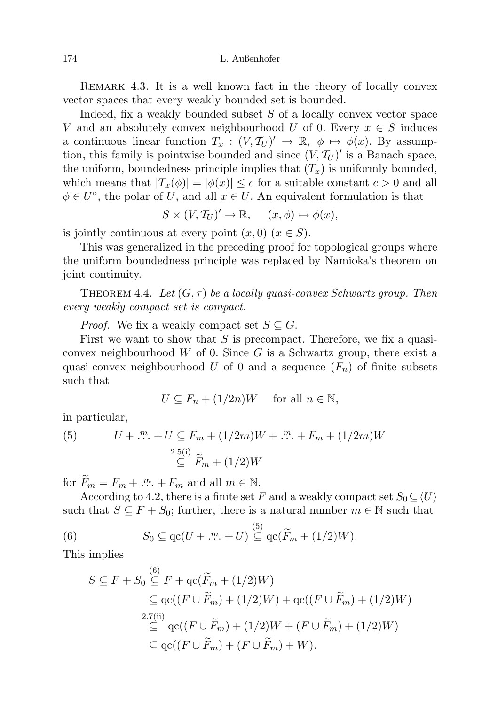REMARK 4.3. It is a well known fact in the theory of locally convex vector spaces that every weakly bounded set is bounded.

Indeed, fix a weakly bounded subset  $S$  of a locally convex vector space V and an absolutely convex neighbourhood U of 0. Every  $x \in S$  induces a continuous linear function  $T_x : (V, \mathcal{T}_U)' \to \mathbb{R}, \phi \mapsto \phi(x)$ . By assumption, this family is pointwise bounded and since  $(V, \mathcal{T}_U)'$  is a Banach space, the uniform, boundedness principle implies that  $(T_x)$  is uniformly bounded, which means that  $|T_x(\phi)| = |\phi(x)| \leq c$  for a suitable constant  $c > 0$  and all  $\phi \in U^{\circ}$ , the polar of U, and all  $x \in U$ . An equivalent formulation is that

$$
S \times (V, T_U)' \to \mathbb{R}, \quad (x, \phi) \mapsto \phi(x),
$$

is jointly continuous at every point  $(x, 0)$   $(x \in S)$ .

This was generalized in the preceding proof for topological groups where the uniform boundedness principle was replaced by Namioka's theorem on joint continuity.

THEOREM 4.4. Let  $(G, \tau)$  be a locally quasi-convex Schwartz group. Then every weakly compact set is compact.

*Proof.* We fix a weakly compact set  $S \subseteq G$ .

First we want to show that  $S$  is precompact. Therefore, we fix a quasiconvex neighbourhood  $W$  of 0. Since  $G$  is a Schwartz group, there exist a quasi-convex neighbourhood U of 0 and a sequence  $(F_n)$  of finite subsets such that

$$
U \subseteq F_n + (1/2n)W \quad \text{ for all } n \in \mathbb{N},
$$

in particular,

(5) 
$$
U + \dots + U \subseteq F_m + (1/2m)W + \dots + F_m + (1/2m)W
$$

$$
\subseteq F_m + (1/2)W
$$

for  $\widetilde{F}_m = F_m + \dots + F_m$  and all  $m \in \mathbb{N}$ .

 $(6)$ 

According to 4.2, there is a finite set F and a weakly compact set  $S_0 \subseteq \langle U \rangle$ such that  $S \subseteq F + S_0$ ; further, there is a natural number  $m \in \mathbb{N}$  such that

(6) 
$$
S_0 \subseteq \mathrm{qc}(U + \dots \dots \dots + U) \stackrel{(5)}{\subseteq} \mathrm{qc}(\widetilde{F}_m + (1/2)W).
$$

This implies

$$
S \subseteq F + S_0 \stackrel{(6)}{\subseteq} F + \text{qc}(\widetilde{F}_m + (1/2)W)
$$
  
\n
$$
\subseteq \text{qc}((F \cup \widetilde{F}_m) + (1/2)W) + \text{qc}((F \cup \widetilde{F}_m) + (1/2)W)
$$
  
\n
$$
\stackrel{2.7(ii)}{\subseteq} \text{qc}((F \cup \widetilde{F}_m) + (1/2)W + (F \cup \widetilde{F}_m) + (1/2)W)
$$
  
\n
$$
\subseteq \text{qc}((F \cup \widetilde{F}_m) + (F \cup \widetilde{F}_m) + W).
$$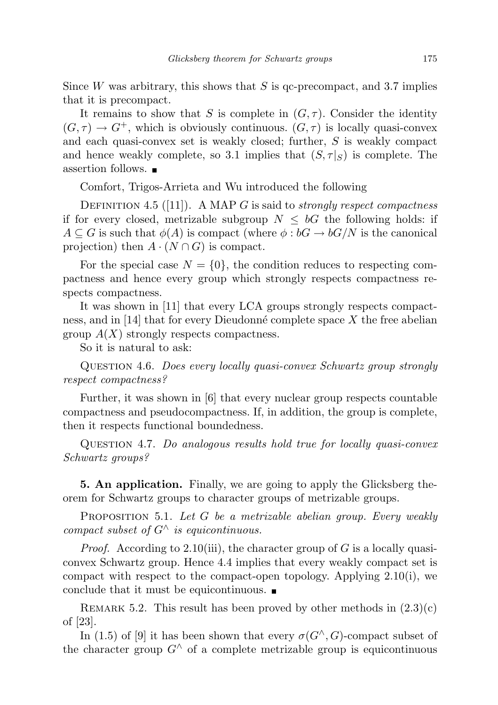Since W was arbitrary, this shows that  $S$  is qc-precompact, and 3.7 implies that it is precompact.

It remains to show that S is complete in  $(G, \tau)$ . Consider the identity  $(G, \tau) \to G^+$ , which is obviously continuous.  $(G, \tau)$  is locally quasi-convex and each quasi-convex set is weakly closed; further, S is weakly compact and hence weakly complete, so 3.1 implies that  $(S, \tau | S)$  is complete. The assertion follows.

Comfort, Trigos-Arrieta and Wu introduced the following

DEFINITION 4.5 ([11]). A MAP G is said to *strongly respect compactness* if for every closed, metrizable subgroup  $N \leq bG$  the following holds: if  $A \subseteq G$  is such that  $\phi(A)$  is compact (where  $\phi : bG \to bG/N$  is the canonical projection) then  $A \cdot (N \cap G)$  is compact.

For the special case  $N = \{0\}$ , the condition reduces to respecting compactness and hence every group which strongly respects compactness respects compactness.

It was shown in [11] that every LCA groups strongly respects compactness, and in [14] that for every Dieudonné complete space  $X$  the free abelian group  $A(X)$  strongly respects compactness.

So it is natural to ask:

Question 4.6. Does every locally quasi-convex Schwartz group strongly respect compactness?

Further, it was shown in [6] that every nuclear group respects countable compactness and pseudocompactness. If, in addition, the group is complete, then it respects functional boundedness.

Question 4.7. Do analogous results hold true for locally quasi-convex Schwartz groups?

5. An application. Finally, we are going to apply the Glicksberg theorem for Schwartz groups to character groups of metrizable groups.

PROPOSITION 5.1. Let G be a metrizable abelian group. Every weakly compact subset of  $G^{\wedge}$  is equicontinuous.

*Proof.* According to 2.10(iii), the character group of G is a locally quasiconvex Schwartz group. Hence 4.4 implies that every weakly compact set is compact with respect to the compact-open topology. Applying 2.10(i), we conclude that it must be equicontinuous.

REMARK 5.2. This result has been proved by other methods in  $(2.3)(c)$ of [23].

In (1.5) of [9] it has been shown that every  $\sigma(G^{\wedge}, G)$ -compact subset of the character group  $G^{\wedge}$  of a complete metrizable group is equicontinuous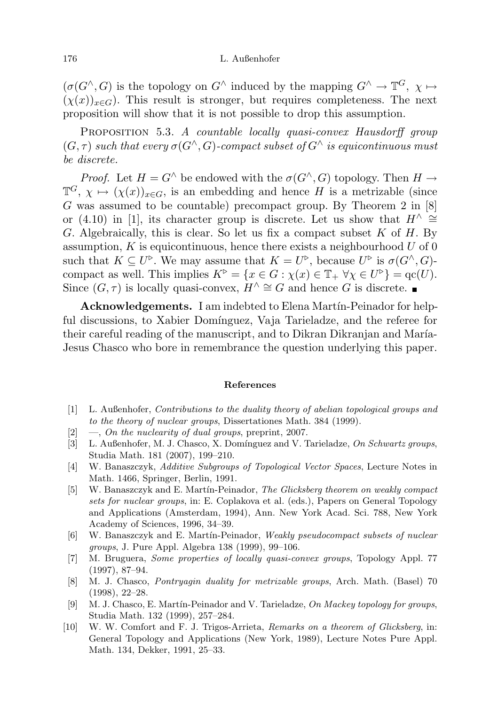$(\sigma(G^{\wedge}, G)$  is the topology on  $G^{\wedge}$  induced by the mapping  $G^{\wedge} \to \mathbb{T}^G$ ,  $\chi \mapsto$  $(\chi(x))_{x\in G}$ . This result is stronger, but requires completeness. The next proposition will show that it is not possible to drop this assumption.

PROPOSITION 5.3. A countable locally quasi-convex Hausdorff group  $(G, \tau)$  such that every  $\sigma(G^{\wedge}, G)$ -compact subset of  $G^{\wedge}$  is equicontinuous must be discrete.

*Proof.* Let  $H = G^{\wedge}$  be endowed with the  $\sigma(G^{\wedge}, G)$  topology. Then  $H \to$  $\mathbb{T}^G$ ,  $\chi \mapsto (\chi(x))_{x \in G}$ , is an embedding and hence H is a metrizable (since G was assumed to be countable) precompact group. By Theorem 2 in [8] or (4.10) in [1], its character group is discrete. Let us show that  $H^{\wedge} \cong$ G. Algebraically, this is clear. So let us fix a compact subset  $K$  of  $H$ . By assumption, K is equicontinuous, hence there exists a neighbourhood  $U$  of 0 such that  $K \subseteq U^{\triangleright}$ . We may assume that  $K = U^{\triangleright}$ , because  $U^{\triangleright}$  is  $\sigma(G^{\wedge}, G)$ compact as well. This implies  $K^{\triangleright} = \{x \in G : \chi(x) \in \mathbb{T}_+ \,\,\forall \chi \in U^{\triangleright}\} = \text{qc}(U)$ . Since  $(G, \tau)$  is locally quasi-convex,  $H^{\wedge} \cong G$  and hence G is discrete. ■

Acknowledgements. I am indebted to Elena Martín-Peinador for helpful discussions, to Xabier Domínguez, Vaja Tarieladze, and the referee for their careful reading of the manuscript, and to Dikran Dikranjan and María-Jesus Chasco who bore in remembrance the question underlying this paper.

#### References

- [1] L. Außenhofer, Contributions to the duality theory of abelian topological groups and to the theory of nuclear groups, Dissertationes Math. 384 (1999).
- $[2] \quad -$ , On the nuclearity of dual groups, preprint, 2007.
- [3] L. Außenhofer, M. J. Chasco, X. Domínguez and V. Tarieladze, On Schwartz groups, Studia Math. 181 (2007), 199–210.
- [4] W. Banaszczyk, Additive Subgroups of Topological Vector Spaces, Lecture Notes in Math. 1466, Springer, Berlin, 1991.
- [5] W. Banaszczyk and E. Martín-Peinador, The Glicksberg theorem on weakly compact sets for nuclear groups, in: E. Coplakova et al. (eds.), Papers on General Topology and Applications (Amsterdam, 1994), Ann. New York Acad. Sci. 788, New York Academy of Sciences, 1996, 34–39.
- [6] W. Banaszczyk and E. Martín-Peinador, Weakly pseudocompact subsets of nuclear groups, J. Pure Appl. Algebra 138 (1999), 99–106.
- [7] M. Bruguera, Some properties of locally quasi-convex groups, Topology Appl. 77 (1997), 87–94.
- [8] M. J. Chasco, Pontryagin duality for metrizable groups, Arch. Math. (Basel) 70 (1998), 22–28.
- [9] M. J. Chasco, E. Martín-Peinador and V. Tarieladze, On Mackey topology for groups, Studia Math. 132 (1999), 257–284.
- [10] W. W. Comfort and F. J. Trigos-Arrieta, Remarks on a theorem of Glicksberg, in: General Topology and Applications (New York, 1989), Lecture Notes Pure Appl. Math. 134, Dekker, 1991, 25–33.